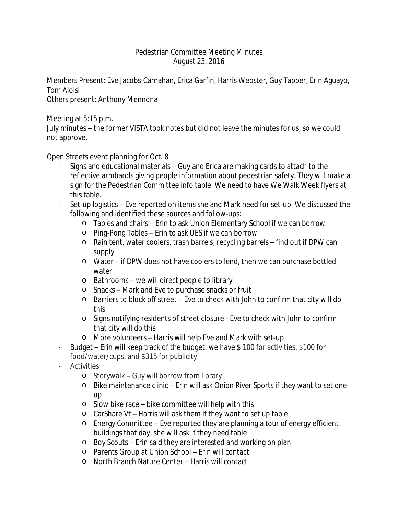## Pedestrian Committee Meeting Minutes August 23, 2016

Members Present: Eve Jacobs-Carnahan, Erica Garfin, Harris Webster, Guy Tapper, Erin Aguayo, Tom Aloisi

Others present: Anthony Mennona

Meeting at 5:15 p.m.

July minutes – the former VISTA took notes but did not leave the minutes for us, so we could not approve.

Open Streets event planning for Oct. 8

- Signs and educational materials Guy and Erica are making cards to attach to the reflective armbands giving people information about pedestrian safety. They will make a sign for the Pedestrian Committee info table. We need to have We Walk Week flyers at this table.
- Set-up logistics Eve reported on items she and Mark need for set-up. We discussed the following and identified these sources and follow-ups:
	- o Tables and chairs Erin to ask Union Elementary School if we can borrow
	- o Ping-Pong Tables Erin to ask UES if we can borrow
	- o Rain tent, water coolers, trash barrels, recycling barrels find out if DPW can supply
	- o Water if DPW does not have coolers to lend, then we can purchase bottled water
	- o Bathrooms we will direct people to library
	- o Snacks Mark and Eve to purchase snacks or fruit
	- o Barriers to block off street Eve to check with John to confirm that city will do this
	- o Signs notifying residents of street closure Eve to check with John to confirm that city will do this
	- o More volunteers Harris will help Eve and Mark with set-up
- Budget Erin will keep track of the budget, we have \$ 100 for activities, \$100 for food/water/cups, and \$315 for publicity
- **Activities** 
	- o Storywalk Guy will borrow from library
	- o Bike maintenance clinic Erin will ask Onion River Sports if they want to set one up
	- o Slow bike race bike committee will help with this
	- o CarShare Vt Harris will ask them if they want to set up table
	- o Energy Committee Eve reported they are planning a tour of energy efficient buildings that day, she will ask if they need table
	- o Boy Scouts Erin said they are interested and working on plan
	- o Parents Group at Union School Erin will contact
	- o North Branch Nature Center Harris will contact